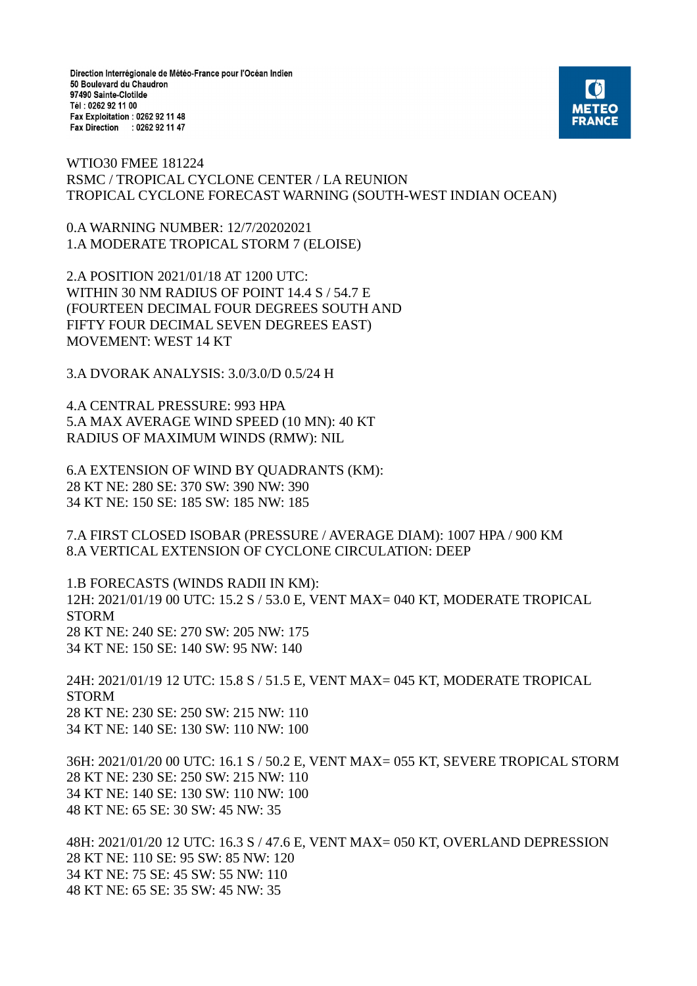Direction Interrégionale de Météo-France pour l'Océan Indien 50 Boulevard du Chaudron 97490 Sainte-Clotilde Tél: 0262 92 11 00 Fax Exploitation : 0262 92 11 48 Fax Direction : 0262 92 11 47



WTIO30 FMEE 181224 RSMC / TROPICAL CYCLONE CENTER / LA REUNION TROPICAL CYCLONE FORECAST WARNING (SOUTH-WEST INDIAN OCEAN)

0.A WARNING NUMBER: 12/7/20202021 1.A MODERATE TROPICAL STORM 7 (ELOISE)

2.A POSITION 2021/01/18 AT 1200 UTC: WITHIN 30 NM RADIUS OF POINT 14.4 S / 54.7 E (FOURTEEN DECIMAL FOUR DEGREES SOUTH AND FIFTY FOUR DECIMAL SEVEN DEGREES EAST) MOVEMENT: WEST 14 KT

3.A DVORAK ANALYSIS: 3.0/3.0/D 0.5/24 H

4.A CENTRAL PRESSURE: 993 HPA 5.A MAX AVERAGE WIND SPEED (10 MN): 40 KT RADIUS OF MAXIMUM WINDS (RMW): NIL

6.A EXTENSION OF WIND BY QUADRANTS (KM): 28 KT NE: 280 SE: 370 SW: 390 NW: 390 34 KT NE: 150 SE: 185 SW: 185 NW: 185

7.A FIRST CLOSED ISOBAR (PRESSURE / AVERAGE DIAM): 1007 HPA / 900 KM 8.A VERTICAL EXTENSION OF CYCLONE CIRCULATION: DEEP

1.B FORECASTS (WINDS RADII IN KM): 12H: 2021/01/19 00 UTC: 15.2 S / 53.0 E, VENT MAX= 040 KT, MODERATE TROPICAL STORM 28 KT NE: 240 SE: 270 SW: 205 NW: 175 34 KT NE: 150 SE: 140 SW: 95 NW: 140

24H: 2021/01/19 12 UTC: 15.8 S / 51.5 E, VENT MAX= 045 KT, MODERATE TROPICAL STORM 28 KT NE: 230 SE: 250 SW: 215 NW: 110 34 KT NE: 140 SE: 130 SW: 110 NW: 100

36H: 2021/01/20 00 UTC: 16.1 S / 50.2 E, VENT MAX= 055 KT, SEVERE TROPICAL STORM 28 KT NE: 230 SE: 250 SW: 215 NW: 110 34 KT NE: 140 SE: 130 SW: 110 NW: 100 48 KT NE: 65 SE: 30 SW: 45 NW: 35

48H: 2021/01/20 12 UTC: 16.3 S / 47.6 E, VENT MAX= 050 KT, OVERLAND DEPRESSION 28 KT NE: 110 SE: 95 SW: 85 NW: 120 34 KT NE: 75 SE: 45 SW: 55 NW: 110 48 KT NE: 65 SE: 35 SW: 45 NW: 35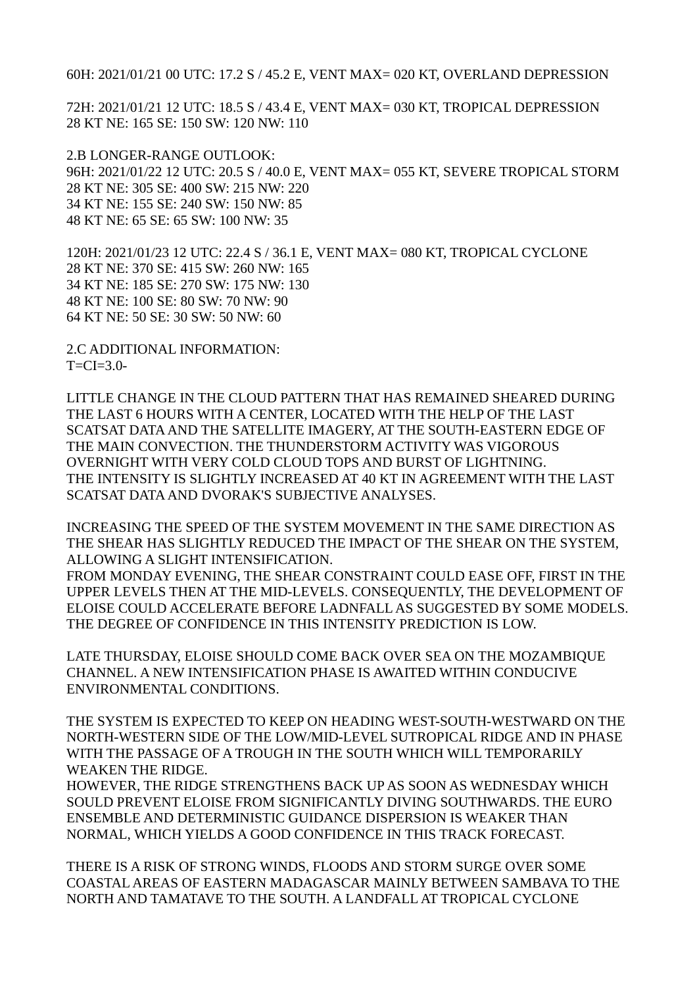60H: 2021/01/21 00 UTC: 17.2 S / 45.2 E, VENT MAX= 020 KT, OVERLAND DEPRESSION

72H: 2021/01/21 12 UTC: 18.5 S / 43.4 E, VENT MAX= 030 KT, TROPICAL DEPRESSION 28 KT NE: 165 SE: 150 SW: 120 NW: 110

2.B LONGER-RANGE OUTLOOK: 96H: 2021/01/22 12 UTC: 20.5 S / 40.0 E, VENT MAX= 055 KT, SEVERE TROPICAL STORM 28 KT NE: 305 SE: 400 SW: 215 NW: 220 34 KT NE: 155 SE: 240 SW: 150 NW: 85 48 KT NE: 65 SE: 65 SW: 100 NW: 35

120H: 2021/01/23 12 UTC: 22.4 S / 36.1 E, VENT MAX= 080 KT, TROPICAL CYCLONE 28 KT NE: 370 SE: 415 SW: 260 NW: 165 34 KT NE: 185 SE: 270 SW: 175 NW: 130 48 KT NE: 100 SE: 80 SW: 70 NW: 90 64 KT NE: 50 SE: 30 SW: 50 NW: 60

2.C ADDITIONAL INFORMATION:  $T=CI=3.0-$ 

LITTLE CHANGE IN THE CLOUD PATTERN THAT HAS REMAINED SHEARED DURING THE LAST 6 HOURS WITH A CENTER, LOCATED WITH THE HELP OF THE LAST SCATSAT DATA AND THE SATELLITE IMAGERY, AT THE SOUTH-EASTERN EDGE OF THE MAIN CONVECTION. THE THUNDERSTORM ACTIVITY WAS VIGOROUS OVERNIGHT WITH VERY COLD CLOUD TOPS AND BURST OF LIGHTNING. THE INTENSITY IS SLIGHTLY INCREASED AT 40 KT IN AGREEMENT WITH THE LAST SCATSAT DATA AND DVORAK'S SUBJECTIVE ANALYSES.

INCREASING THE SPEED OF THE SYSTEM MOVEMENT IN THE SAME DIRECTION AS THE SHEAR HAS SLIGHTLY REDUCED THE IMPACT OF THE SHEAR ON THE SYSTEM, ALLOWING A SLIGHT INTENSIFICATION.

FROM MONDAY EVENING, THE SHEAR CONSTRAINT COULD EASE OFF, FIRST IN THE UPPER LEVELS THEN AT THE MID-LEVELS. CONSEQUENTLY, THE DEVELOPMENT OF ELOISE COULD ACCELERATE BEFORE LADNFALL AS SUGGESTED BY SOME MODELS. THE DEGREE OF CONFIDENCE IN THIS INTENSITY PREDICTION IS LOW.

LATE THURSDAY, ELOISE SHOULD COME BACK OVER SEA ON THE MOZAMBIQUE CHANNEL. A NEW INTENSIFICATION PHASE IS AWAITED WITHIN CONDUCIVE ENVIRONMENTAL CONDITIONS.

THE SYSTEM IS EXPECTED TO KEEP ON HEADING WEST-SOUTH-WESTWARD ON THE NORTH-WESTERN SIDE OF THE LOW/MID-LEVEL SUTROPICAL RIDGE AND IN PHASE WITH THE PASSAGE OF A TROUGH IN THE SOUTH WHICH WILL TEMPORARILY WEAKEN THE RIDGE.

HOWEVER, THE RIDGE STRENGTHENS BACK UP AS SOON AS WEDNESDAY WHICH SOULD PREVENT ELOISE FROM SIGNIFICANTLY DIVING SOUTHWARDS. THE EURO ENSEMBLE AND DETERMINISTIC GUIDANCE DISPERSION IS WEAKER THAN NORMAL, WHICH YIELDS A GOOD CONFIDENCE IN THIS TRACK FORECAST.

THERE IS A RISK OF STRONG WINDS, FLOODS AND STORM SURGE OVER SOME COASTAL AREAS OF EASTERN MADAGASCAR MAINLY BETWEEN SAMBAVA TO THE NORTH AND TAMATAVE TO THE SOUTH. A LANDFALL AT TROPICAL CYCLONE